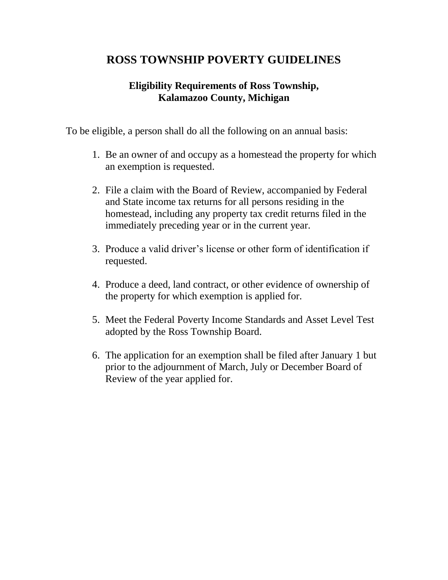# **ROSS TOWNSHIP POVERTY GUIDELINES**

## **Eligibility Requirements of Ross Township, Kalamazoo County, Michigan**

To be eligible, a person shall do all the following on an annual basis:

- 1. Be an owner of and occupy as a homestead the property for which an exemption is requested.
- 2. File a claim with the Board of Review, accompanied by Federal and State income tax returns for all persons residing in the homestead, including any property tax credit returns filed in the immediately preceding year or in the current year.
- 3. Produce a valid driver's license or other form of identification if requested.
- 4. Produce a deed, land contract, or other evidence of ownership of the property for which exemption is applied for.
- 5. Meet the Federal Poverty Income Standards and Asset Level Test adopted by the Ross Township Board.
- 6. The application for an exemption shall be filed after January 1 but prior to the adjournment of March, July or December Board of Review of the year applied for.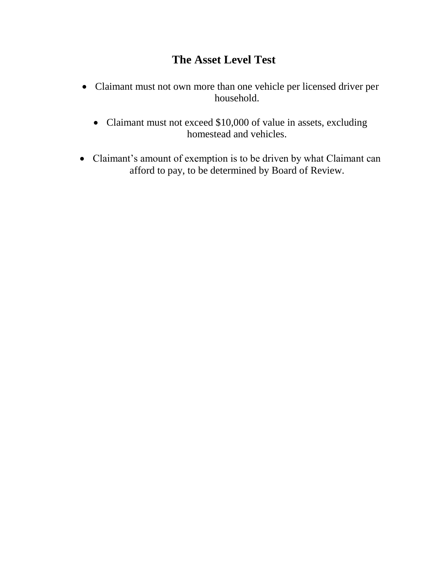# **The Asset Level Test**

- Claimant must not own more than one vehicle per licensed driver per household.
	- Claimant must not exceed \$10,000 of value in assets, excluding homestead and vehicles.
- Claimant's amount of exemption is to be driven by what Claimant can afford to pay, to be determined by Board of Review.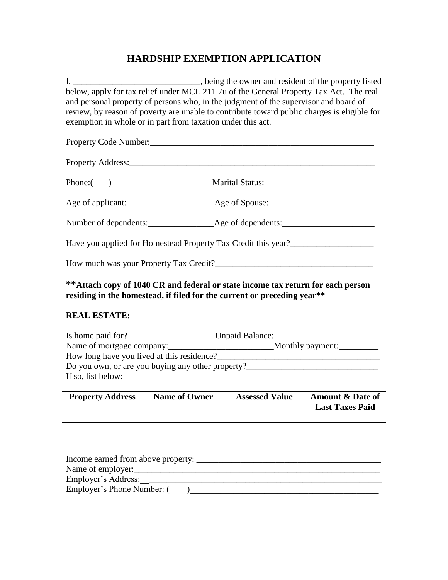## **HARDSHIP EXEMPTION APPLICATION**

I, \_\_\_\_\_\_\_\_\_\_\_\_\_\_\_\_\_\_\_\_\_\_\_\_\_\_\_, being the owner and resident of the property listed below, apply for tax relief under MCL 211.7u of the General Property Tax Act. The real and personal property of persons who, in the judgment of the supervisor and board of review, by reason of poverty are unable to contribute toward public charges is eligible for exemption in whole or in part from taxation under this act.

| Property Code Number:                                                            |  |  |  |  |
|----------------------------------------------------------------------------------|--|--|--|--|
|                                                                                  |  |  |  |  |
|                                                                                  |  |  |  |  |
|                                                                                  |  |  |  |  |
|                                                                                  |  |  |  |  |
| Have you applied for Homestead Property Tax Credit this year?___________________ |  |  |  |  |
|                                                                                  |  |  |  |  |

\*\***Attach copy of 1040 CR and federal or state income tax return for each person residing in the homestead, if filed for the current or preceding year\*\***

#### **REAL ESTATE:**

| Is home paid for?                                 | Unpaid Balance:  |
|---------------------------------------------------|------------------|
| Name of mortgage company:                         | Monthly payment: |
| How long have you lived at this residence?        |                  |
| Do you own, or are you buying any other property? |                  |
| If so, list below:                                |                  |

| <b>Property Address</b> | <b>Name of Owner</b> | <b>Assessed Value</b> | <b>Amount &amp; Date of</b><br><b>Last Taxes Paid</b> |
|-------------------------|----------------------|-----------------------|-------------------------------------------------------|
|                         |                      |                       |                                                       |
|                         |                      |                       |                                                       |
|                         |                      |                       |                                                       |

| Income earned from above property: |  |
|------------------------------------|--|
| Name of employer:                  |  |
| Employer's Address:                |  |
| Employer's Phone Number: (         |  |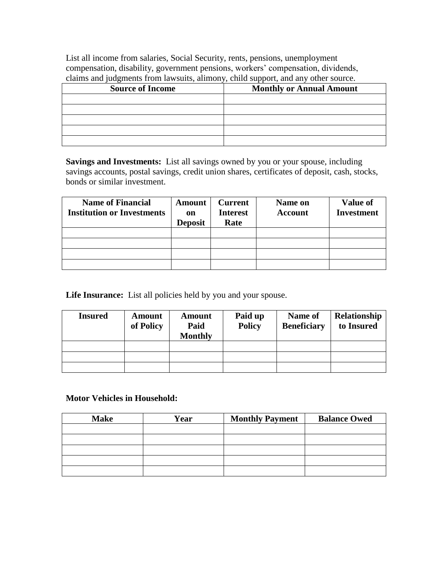List all income from salaries, Social Security, rents, pensions, unemployment compensation, disability, government pensions, workers' compensation, dividends, claims and judgments from lawsuits, alimony, child support, and any other source.

| <b>Source of Income</b> | <b>Monthly or Annual Amount</b> |
|-------------------------|---------------------------------|
|                         |                                 |
|                         |                                 |
|                         |                                 |
|                         |                                 |
|                         |                                 |

**Savings and Investments:** List all savings owned by you or your spouse, including savings accounts, postal savings, credit union shares, certificates of deposit, cash, stocks, bonds or similar investment.

| <b>Name of Financial</b><br><b>Institution or Investments</b> | Amount<br>on<br><b>Deposit</b> | <b>Current</b><br><b>Interest</b><br>Rate | Name on<br><b>Account</b> | <b>Value of</b><br><b>Investment</b> |
|---------------------------------------------------------------|--------------------------------|-------------------------------------------|---------------------------|--------------------------------------|
|                                                               |                                |                                           |                           |                                      |
|                                                               |                                |                                           |                           |                                      |
|                                                               |                                |                                           |                           |                                      |
|                                                               |                                |                                           |                           |                                      |

Life Insurance: List all policies held by you and your spouse.

| <b>Insured</b> | <b>Amount</b><br>of Policy | Amount<br>Paid<br><b>Monthly</b> | Paid up<br><b>Policy</b> | Name of<br><b>Beneficiary</b> | Relationship<br>to Insured |
|----------------|----------------------------|----------------------------------|--------------------------|-------------------------------|----------------------------|
|                |                            |                                  |                          |                               |                            |
|                |                            |                                  |                          |                               |                            |
|                |                            |                                  |                          |                               |                            |

#### **Motor Vehicles in Household:**

| <b>Make</b> | Year | <b>Monthly Payment</b> | <b>Balance Owed</b> |
|-------------|------|------------------------|---------------------|
|             |      |                        |                     |
|             |      |                        |                     |
|             |      |                        |                     |
|             |      |                        |                     |
|             |      |                        |                     |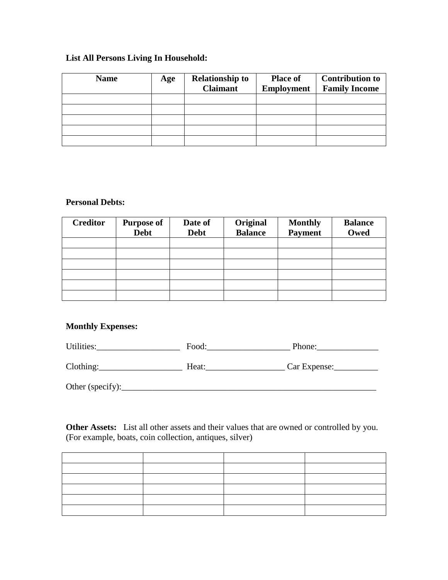### **List All Persons Living In Household:**

| <b>Name</b> | Age | <b>Relationship to</b><br><b>Claimant</b> | <b>Place of</b><br><b>Employment</b> | <b>Contribution to</b><br><b>Family Income</b> |
|-------------|-----|-------------------------------------------|--------------------------------------|------------------------------------------------|
|             |     |                                           |                                      |                                                |
|             |     |                                           |                                      |                                                |
|             |     |                                           |                                      |                                                |
|             |     |                                           |                                      |                                                |
|             |     |                                           |                                      |                                                |

#### **Personal Debts:**

| <b>Creditor</b> | <b>Purpose of</b><br><b>Debt</b> | Date of<br><b>Debt</b> | Original<br><b>Balance</b> | <b>Monthly</b><br><b>Payment</b> | <b>Balance</b><br>Owed |
|-----------------|----------------------------------|------------------------|----------------------------|----------------------------------|------------------------|
|                 |                                  |                        |                            |                                  |                        |
|                 |                                  |                        |                            |                                  |                        |
|                 |                                  |                        |                            |                                  |                        |
|                 |                                  |                        |                            |                                  |                        |
|                 |                                  |                        |                            |                                  |                        |
|                 |                                  |                        |                            |                                  |                        |

#### **Monthly Expenses:**

| Utilities:       | Food: | Phone:       |
|------------------|-------|--------------|
| Clothing:        | Heat: | Car Expense: |
| Other (specify): |       |              |

**Other Assets:** List all other assets and their values that are owned or controlled by you. (For example, boats, coin collection, antiques, silver)